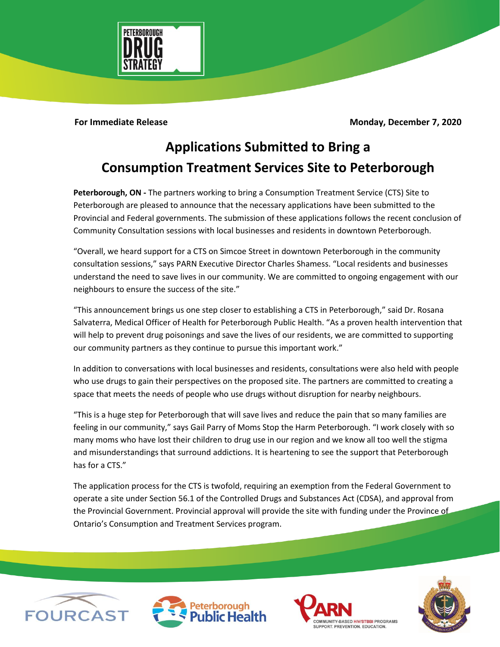

**For Immediate Release Monday, December 7, 2020** 

## **Applications Submitted to Bring a Consumption Treatment Services Site to Peterborough**

**Peterborough, ON -** The partners working to bring a Consumption Treatment Service (CTS) Site to Peterborough are pleased to announce that the necessary applications have been submitted to the Provincial and Federal governments. The submission of these applications follows the recent conclusion of Community Consultation sessions with local businesses and residents in downtown Peterborough.

"Overall, we heard support for a CTS on Simcoe Street in downtown Peterborough in the community consultation sessions," says PARN Executive Director Charles Shamess. "Local residents and businesses understand the need to save lives in our community. We are committed to ongoing engagement with our neighbours to ensure the success of the site."

"This announcement brings us one step closer to establishing a CTS in Peterborough," said Dr. Rosana Salvaterra, Medical Officer of Health for Peterborough Public Health. "As a proven health intervention that will help to prevent drug poisonings and save the lives of our residents, we are committed to supporting our community partners as they continue to pursue this important work."

In addition to conversations with local businesses and residents, consultations were also held with people who use drugs to gain their perspectives on the proposed site. The partners are committed to creating a space that meets the needs of people who use drugs without disruption for nearby neighbours.

"This is a huge step for Peterborough that will save lives and reduce the pain that so many families are feeling in our community," says Gail Parry of Moms Stop the Harm Peterborough. "I work closely with so many moms who have lost their children to drug use in our region and we know all too well the stigma and misunderstandings that surround addictions. It is heartening to see the support that Peterborough has for a CTS."

The application process for the CTS is twofold, requiring an exemption from the Federal Government to operate a site under Section 56.1 of the Controlled Drugs and Substances Act (CDSA), and approval from the Provincial Government. Provincial approval will provide the site with funding under the Province of Ontario's Consumption and Treatment Services program.







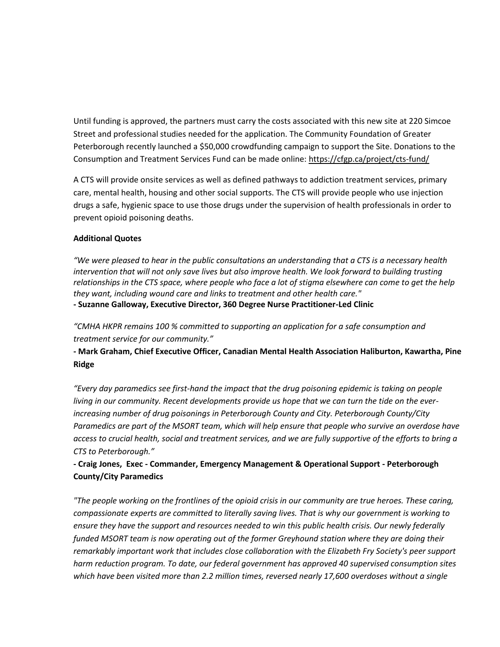Until funding is approved, the partners must carry the costs associated with this new site at 220 Simcoe Street and professional studies needed for the application. The Community Foundation of Greater Peterborough recently launched a \$50,000 crowdfunding campaign to support the Site. Donations to the Consumption and Treatment Services Fund can be made online:<https://cfgp.ca/project/cts-fund/>

A CTS will provide onsite services as well as defined pathways to addiction treatment services, primary care, mental health, housing and other social supports. The CTS will provide people who use injection drugs a safe, hygienic space to use those drugs under the supervision of health professionals in order to prevent opioid poisoning deaths.

## **Additional Quotes**

*"We were pleased to hear in the public consultations an understanding that a CTS is a necessary health intervention that will not only save lives but also improve health. We look forward to building trusting relationships in the CTS space, where people who face a lot of stigma elsewhere can come to get the help they want, including wound care and links to treatment and other health care."* **- Suzanne Galloway, Executive Director, 360 Degree Nurse Practitioner-Led Clinic**

*"CMHA HKPR remains 100 % committed to supporting an application for a safe consumption and treatment service for our community."*

**- Mark Graham, Chief Executive Officer, Canadian Mental Health Association Haliburton, Kawartha, Pine Ridge**

*"Every day paramedics see first-hand the impact that the drug poisoning epidemic is taking on people living in our community. Recent developments provide us hope that we can turn the tide on the everincreasing number of drug poisonings in Peterborough County and City. Peterborough County/City Paramedics are part of the MSORT team, which will help ensure that people who survive an overdose have access to crucial health, social and treatment services, and we are fully supportive of the efforts to bring a CTS to Peterborough."*

## **- Craig Jones, Exec - Commander, Emergency Management & Operational Support - Peterborough County/City Paramedics**

*"The people working on the frontlines of the opioid crisis in our community are true heroes. These caring, compassionate experts are committed to literally saving lives. That is why our government is working to ensure they have the support and resources needed to win this public health crisis. Our newly federally funded MSORT team is now operating out of the former Greyhound station where they are doing their remarkably important work that includes close collaboration with the Elizabeth Fry Society's peer support harm reduction program. To date, our federal government has approved 40 supervised consumption sites which have been visited more than 2.2 million times, reversed nearly 17,600 overdoses without a single*